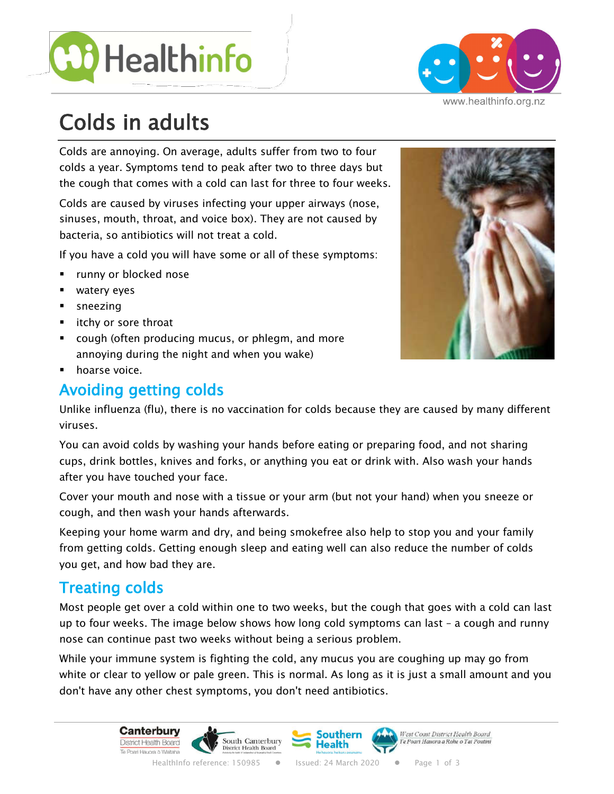



#### www.healthinfo.org.nz

# Colds in adults

Colds are annoying. On average, adults suffer from two to four colds a year. Symptoms tend to peak after two to three days but the cough that comes with a cold can last for three to four weeks.

Colds are caused by viruses infecting your upper airways (nose, sinuses, mouth, throat, and voice box). They are not caused by bacteria, so antibiotics will not treat a cold.

If you have a cold you will have some or all of these symptoms:

- § runny or blocked nose
- watery eyes
- sneezing
- itchy or sore throat
- cough (often producing mucus, or phlegm, and more annoying during the night and when you wake)
- **•** hoarse voice.

# **Avoiding getting colds**

Unlike influenza (flu), there is no vaccination for colds because they are caused by many different viruses.

You can avoid colds by washing your hands before eating or preparing food, and not sharing cups, drink bottles, knives and forks, or anything you eat or drink with. Also wash your hands after you have touched your face.

Cover your mouth and nose with a tissue or your arm (but not your hand) when you sneeze or cough, and then wash your hands afterwards.

Keeping your home warm and dry, and being smokefree also help to stop you and your family from getting colds. Getting enough sleep and eating well can also reduce the number of colds you get, and how bad they are.

# **Treating colds**

Most people get over a cold within one to two weeks, but the cough that goes with a cold can last up to four weeks. The image below shows how long cold symptoms can last – a cough and runny nose can continue past two weeks without being a serious problem.

While your immune system is fighting the cold, any mucus you are coughing up may go from white or clear to yellow or pale green. This is normal. As long as it is just a small amount and you don't have any other chest symptoms, you don't need antibiotics.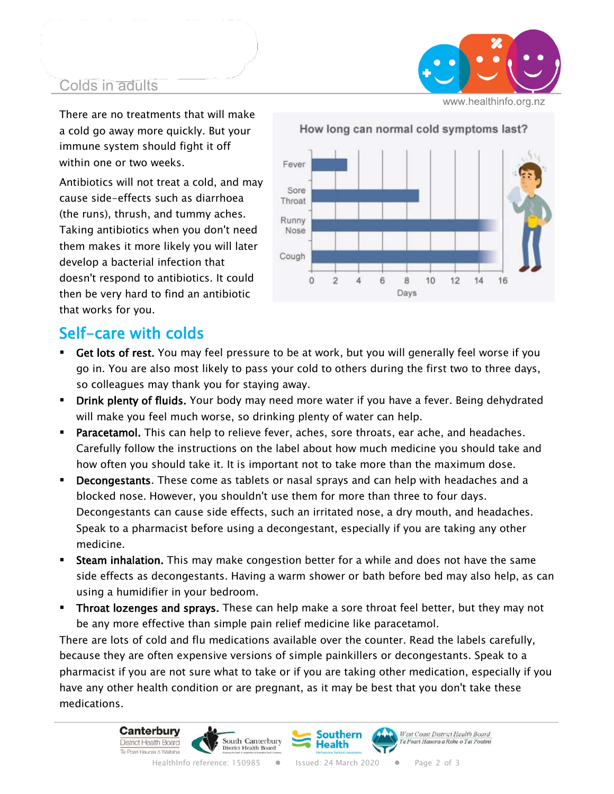#### Colds in adults

www.healthinfo.org.nz

There are no treatments that will make a cold go away more quickly. But your immune system should fight it off within one or two weeks.

Antibiotics will not treat a cold, and may cause side-effects such as diarrhoea (the runs), thrush, and tummy aches. Taking antibiotics when you don't need them makes it more likely you will later develop a bacterial infection that doesn't respond to antibiotics. It could then be very hard to find an antibiotic that works for you.



# Self-care with colds

- **Get lots of rest.** You may feel pressure to be at work, but you will generally feel worse if you go in. You are also most likely to pass your cold to others during the first two to three days, so colleagues may thank you for staying away.
- **Drink plenty of fluids.** Your body may need more water if you have a fever. Being dehydrated will make you feel much worse, so drinking plenty of water can help.
- **Paracetamol.** This can help to relieve fever, aches, sore throats, ear ache, and headaches. Carefully follow the instructions on the label about how much medicine you should take and how often you should take it. It is important not to take more than the maximum dose.
- **Decongestants.** These come as tablets or nasal sprays and can help with headaches and a blocked nose. However, you shouldn't use them for more than three to four days. Decongestants can cause side effects, such an irritated nose, a dry mouth, and headaches. Speak to a pharmacist before using a decongestant, especially if you are taking any other medicine.
- **Steam inhalation.** This may make congestion better for a while and does not have the same side effects as decongestants. Having a warm shower or bath before bed may also help, as can using a humidifier in your bedroom.
- **Throat lozenges and sprays.** These can help make a sore throat feel better, but they may not be any more effective than simple pain relief medicine like paracetamol.

There are lots of cold and flu medications available over the counter. Read the labels carefully, because they are often expensive versions of simple painkillers or decongestants. Speak to a pharmacist if you are not sure what to take or if you are taking other medication, especially if you have any other health condition or are pregnant, as it may be best that you don't take these medications.